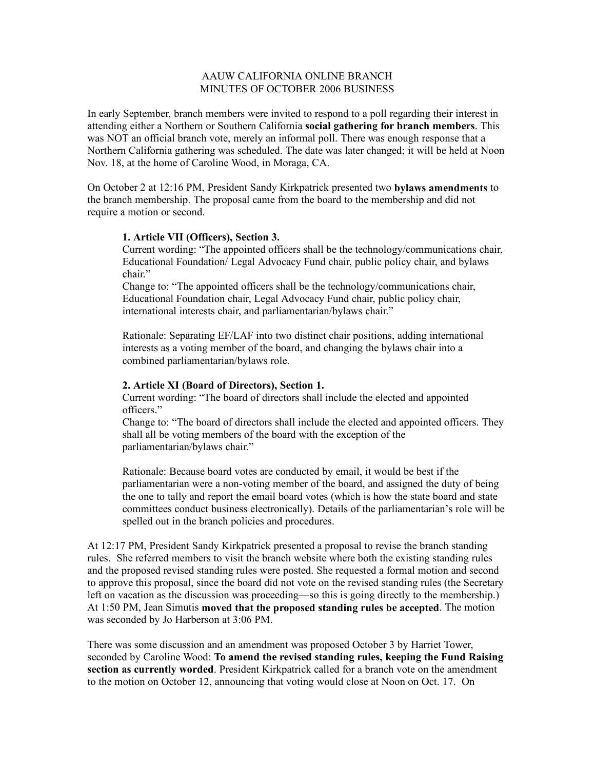## AAUW CALIFORNIA ONLINE BRANCH MINUTES OF OCTOBER 2006 BUSINESS

In early September, branch members were invited to respond to a poll regarding their interest in attending either a Northern or Southern California **social gathering for branch members**. This was NOT an official branch vote, merely an informal poll. There was enough response that a Northern California gathering was scheduled. The date was later changed; it will be held at Noon Nov. 18, at the home of Caroline Wood, in Moraga, CA.

On October 2 at 12:16 PM, President Sandy Kirkpatrick presented two **bylaws amendments** to the branch membership. The proposal came from the board to the membership and did not require a motion or second.

## **1. Article VII (Officers), Section 3.**

Current wording: "The appointed officers shall be the technology/communications chair, Educational Foundation/ Legal Advocacy Fund chair, public policy chair, and bylaws chair."

Change to: "The appointed officers shall be the technology/communications chair, Educational Foundation chair, Legal Advocacy Fund chair, public policy chair, international interests chair, and parliamentarian/bylaws chair."

Rationale: Separating EF/LAF into two distinct chair positions, adding international interests as a voting member of the board, and changing the bylaws chair into a combined parliamentarian/bylaws role.

## **2. Article XI (Board of Directors), Section 1.**

Current wording: "The board of directors shall include the elected and appointed officers."

Change to: "The board of directors shall include the elected and appointed officers. They shall all be voting members of the board with the exception of the parliamentarian/bylaws chair."

Rationale: Because board votes are conducted by email, it would be best if the parliamentarian were a non-voting member of the board, and assigned the duty of being the one to tally and report the email board votes (which is how the state board and state committees conduct business electronically). Details of the parliamentarian's role will be spelled out in the branch policies and procedures.

At 12:17 PM, President Sandy Kirkpatrick presented a proposal to revise the branch standing rules. She referred members to visit the branch website where both the existing standing rules and the proposed revised standing rules were posted. She requested a formal motion and second to approve this proposal, since the board did not vote on the revised standing rules (the Secretary left on vacation as the discussion was proceeding—so this is going directly to the membership.) At 1:50 PM, Jean Simutis **moved that the proposed standing rules be accepted**. The motion was seconded by Jo Harberson at 3:06 PM.

There was some discussion and an amendment was proposed October 3 by Harriet Tower, seconded by Caroline Wood: **To amend the revised standing rules, keeping the Fund Raising section as currently worded**. President Kirkpatrick called for a branch vote on the amendment to the motion on October 12, announcing that voting would close at Noon on Oct. 17. On